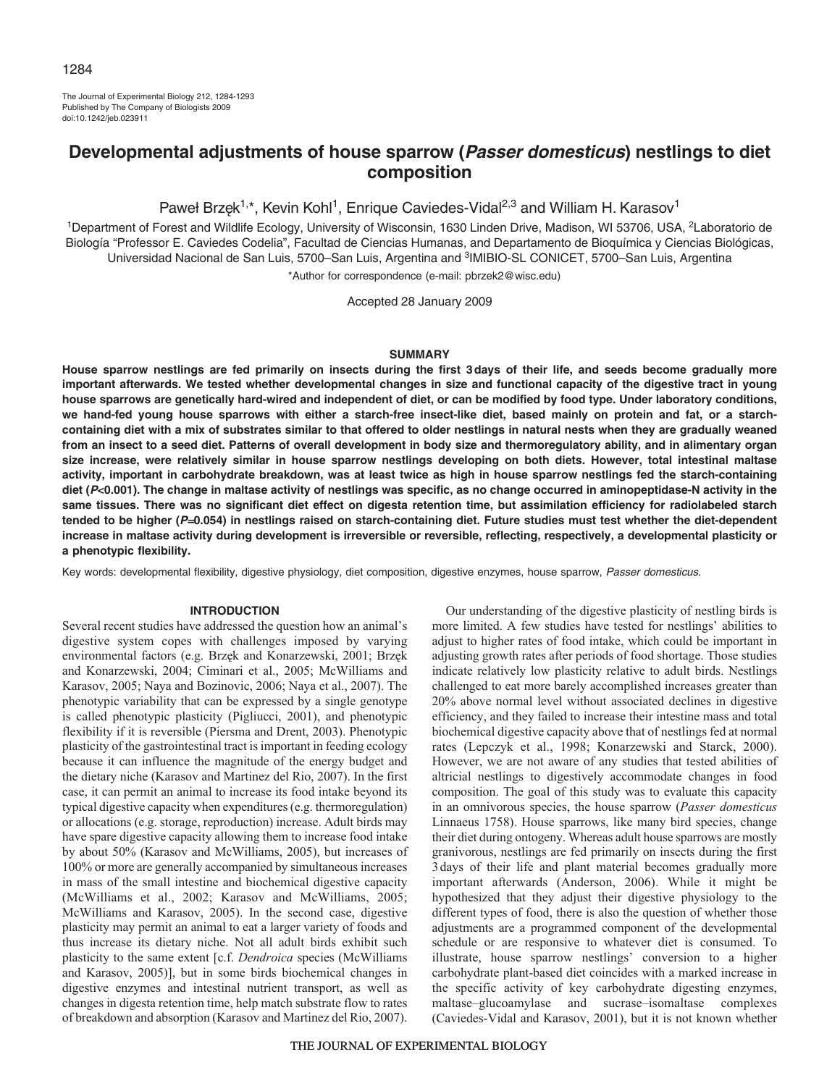The Journal of Experimental Biology 212, 1284-1293 Published by The Company of Biologists 2009 doi:10.1242/jeb.023911

# **Developmental adjustments of house sparrow (Passer domesticus) nestlings to diet composition**

Paweł Brzęk<sup>1,\*</sup>, Kevin Kohl<sup>1</sup>, Enrique Caviedes-Vidal<sup>2,3</sup> and William H. Karasov<sup>1</sup>

1Department of Forest and Wildlife Ecology, University of Wisconsin, 1630 Linden Drive, Madison, WI 53706, USA, 2Laboratorio de Biología "Professor E. Caviedes Codelia", Facultad de Ciencias Humanas, and Departamento de Bioquímica y Ciencias Biológicas, Universidad Nacional de San Luis, 5700–San Luis, Argentina and 3IMIBIO-SL CONICET, 5700–San Luis, Argentina \*Author for correspondence (e-mail: pbrzek2@wisc.edu)

Accepted 28 January 2009

## **SUMMARY**

**House sparrow nestlings are fed primarily on insects during the first 3days of their life, and seeds become gradually more important afterwards. We tested whether developmental changes in size and functional capacity of the digestive tract in young house sparrows are genetically hard-wired and independent of diet, or can be modified by food type. Under laboratory conditions, we hand-fed young house sparrows with either a starch-free insect-like diet, based mainly on protein and fat, or a starchcontaining diet with a mix of substrates similar to that offered to older nestlings in natural nests when they are gradually weaned from an insect to a seed diet. Patterns of overall development in body size and thermoregulatory ability, and in alimentary organ size increase, were relatively similar in house sparrow nestlings developing on both diets. However, total intestinal maltase activity, important in carbohydrate breakdown, was at least twice as high in house sparrow nestlings fed the starch-containing diet (P<0.001). The change in maltase activity of nestlings was specific, as no change occurred in aminopeptidase-N activity in the same tissues. There was no significant diet effect on digesta retention time, but assimilation efficiency for radiolabeled starch tended to be higher (P**=**0.054) in nestlings raised on starch-containing diet. Future studies must test whether the diet-dependent increase in maltase activity during development is irreversible or reversible, reflecting, respectively, a developmental plasticity or a phenotypic flexibility.**

Key words: developmental flexibility, digestive physiology, diet composition, digestive enzymes, house sparrow, Passer domesticus.

## **INTRODUCTION**

Several recent studies have addressed the question how an animal's digestive system copes with challenges imposed by varying environmental factors (e.g. Brzęk and Konarzewski, 2001; Brzęk and Konarzewski, 2004; Ciminari et al., 2005; McWilliams and Karasov, 2005; Naya and Bozinovic, 2006; Naya et al., 2007). The phenotypic variability that can be expressed by a single genotype is called phenotypic plasticity (Pigliucci, 2001), and phenotypic flexibility if it is reversible (Piersma and Drent, 2003). Phenotypic plasticity of the gastrointestinal tract is important in feeding ecology because it can influence the magnitude of the energy budget and the dietary niche (Karasov and Martinez del Rio, 2007). In the first case, it can permit an animal to increase its food intake beyond its typical digestive capacity when expenditures (e.g. thermoregulation) or allocations (e.g. storage, reproduction) increase. Adult birds may have spare digestive capacity allowing them to increase food intake by about 50% (Karasov and McWilliams, 2005), but increases of 100% or more are generally accompanied by simultaneous increases in mass of the small intestine and biochemical digestive capacity (McWilliams et al., 2002; Karasov and McWilliams, 2005; McWilliams and Karasov, 2005). In the second case, digestive plasticity may permit an animal to eat a larger variety of foods and thus increase its dietary niche. Not all adult birds exhibit such plasticity to the same extent [c.f. *Dendroica* species (McWilliams and Karasov, 2005)], but in some birds biochemical changes in digestive enzymes and intestinal nutrient transport, as well as changes in digesta retention time, help match substrate flow to rates of breakdown and absorption (Karasov and Martinez del Rio, 2007).

Our understanding of the digestive plasticity of nestling birds is more limited. A few studies have tested for nestlings' abilities to adjust to higher rates of food intake, which could be important in adjusting growth rates after periods of food shortage. Those studies indicate relatively low plasticity relative to adult birds. Nestlings challenged to eat more barely accomplished increases greater than 20% above normal level without associated declines in digestive efficiency, and they failed to increase their intestine mass and total biochemical digestive capacity above that of nestlings fed at normal rates (Lepczyk et al., 1998; Konarzewski and Starck, 2000). However, we are not aware of any studies that tested abilities of altricial nestlings to digestively accommodate changes in food composition. The goal of this study was to evaluate this capacity in an omnivorous species, the house sparrow (*Passer domesticus* Linnaeus 1758). House sparrows, like many bird species, change their diet during ontogeny. Whereas adult house sparrows are mostly granivorous, nestlings are fed primarily on insects during the first 3days of their life and plant material becomes gradually more important afterwards (Anderson, 2006). While it might be hypothesized that they adjust their digestive physiology to the different types of food, there is also the question of whether those adjustments are a programmed component of the developmental schedule or are responsive to whatever diet is consumed. To illustrate, house sparrow nestlings' conversion to a higher carbohydrate plant-based diet coincides with a marked increase in the specific activity of key carbohydrate digesting enzymes, maltase–glucoamylase and sucrase–isomaltase complexes (Caviedes-Vidal and Karasov, 2001), but it is not known whether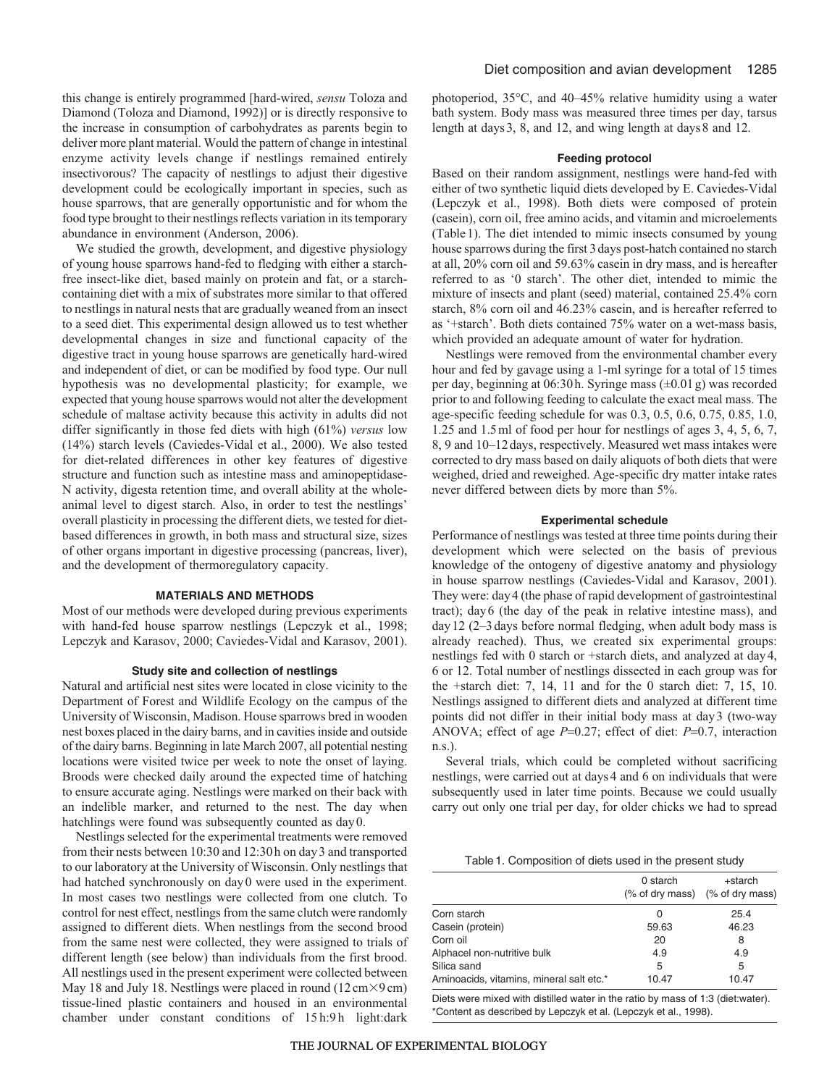this change is entirely programmed [hard-wired, *sensu* Toloza and Diamond (Toloza and Diamond, 1992)] or is directly responsive to the increase in consumption of carbohydrates as parents begin to deliver more plant material. Would the pattern of change in intestinal enzyme activity levels change if nestlings remained entirely insectivorous? The capacity of nestlings to adjust their digestive development could be ecologically important in species, such as house sparrows, that are generally opportunistic and for whom the food type brought to their nestlings reflects variation in its temporary abundance in environment (Anderson, 2006).

We studied the growth, development, and digestive physiology of young house sparrows hand-fed to fledging with either a starchfree insect-like diet, based mainly on protein and fat, or a starchcontaining diet with a mix of substrates more similar to that offered to nestlings in natural nests that are gradually weaned from an insect to a seed diet. This experimental design allowed us to test whether developmental changes in size and functional capacity of the digestive tract in young house sparrows are genetically hard-wired and independent of diet, or can be modified by food type. Our null hypothesis was no developmental plasticity; for example, we expected that young house sparrows would not alter the development schedule of maltase activity because this activity in adults did not differ significantly in those fed diets with high (61%) *versus* low (14%) starch levels (Caviedes-Vidal et al., 2000). We also tested for diet-related differences in other key features of digestive structure and function such as intestine mass and aminopeptidase-N activity, digesta retention time, and overall ability at the wholeanimal level to digest starch. Also, in order to test the nestlings' overall plasticity in processing the different diets, we tested for dietbased differences in growth, in both mass and structural size, sizes of other organs important in digestive processing (pancreas, liver), and the development of thermoregulatory capacity.

## **MATERIALS AND METHODS**

Most of our methods were developed during previous experiments with hand-fed house sparrow nestlings (Lepczyk et al., 1998; Lepczyk and Karasov, 2000; Caviedes-Vidal and Karasov, 2001).

## **Study site and collection of nestlings**

Natural and artificial nest sites were located in close vicinity to the Department of Forest and Wildlife Ecology on the campus of the University of Wisconsin, Madison. House sparrows bred in wooden nest boxes placed in the dairy barns, and in cavities inside and outside of the dairy barns. Beginning in late March 2007, all potential nesting locations were visited twice per week to note the onset of laying. Broods were checked daily around the expected time of hatching to ensure accurate aging. Nestlings were marked on their back with an indelible marker, and returned to the nest. The day when hatchlings were found was subsequently counted as day0.

Nestlings selected for the experimental treatments were removed from their nests between 10:30 and 12:30h on day3 and transported to our laboratory at the University of Wisconsin. Only nestlings that had hatched synchronously on day0 were used in the experiment. In most cases two nestlings were collected from one clutch. To control for nest effect, nestlings from the same clutch were randomly assigned to different diets. When nestlings from the second brood from the same nest were collected, they were assigned to trials of different length (see below) than individuals from the first brood. All nestlings used in the present experiment were collected between May 18 and July 18. Nestlings were placed in round  $(12 \text{ cm} \times 9 \text{ cm})$ tissue-lined plastic containers and housed in an environmental chamber under constant conditions of 15 h:9 h light:dark

photoperiod, 35°C, and 40–45% relative humidity using a water bath system. Body mass was measured three times per day, tarsus length at days3, 8, and 12, and wing length at days8 and 12.

## **Feeding protocol**

Based on their random assignment, nestlings were hand-fed with either of two synthetic liquid diets developed by E. Caviedes-Vidal (Lepczyk et al., 1998). Both diets were composed of protein (casein), corn oil, free amino acids, and vitamin and microelements (Table1). The diet intended to mimic insects consumed by young house sparrows during the first 3days post-hatch contained no starch at all, 20% corn oil and 59.63% casein in dry mass, and is hereafter referred to as '0 starch'. The other diet, intended to mimic the mixture of insects and plant (seed) material, contained 25.4% corn starch, 8% corn oil and 46.23% casein, and is hereafter referred to as '+starch'. Both diets contained 75% water on a wet-mass basis, which provided an adequate amount of water for hydration.

Nestlings were removed from the environmental chamber every hour and fed by gavage using a 1-ml syringe for a total of 15 times per day, beginning at 06:30h. Syringe mass (±0.01g) was recorded prior to and following feeding to calculate the exact meal mass. The age-specific feeding schedule for was 0.3, 0.5, 0.6, 0.75, 0.85, 1.0, 1.25 and 1.5ml of food per hour for nestlings of ages 3, 4, 5, 6, 7, 8, 9 and 10–12days, respectively. Measured wet mass intakes were corrected to dry mass based on daily aliquots of both diets that were weighed, dried and reweighed. Age-specific dry matter intake rates never differed between diets by more than 5%.

#### **Experimental schedule**

Performance of nestlings was tested at three time points during their development which were selected on the basis of previous knowledge of the ontogeny of digestive anatomy and physiology in house sparrow nestlings (Caviedes-Vidal and Karasov, 2001). They were: day4 (the phase of rapid development of gastrointestinal tract); day6 (the day of the peak in relative intestine mass), and day12 (2–3days before normal fledging, when adult body mass is already reached). Thus, we created six experimental groups: nestlings fed with 0 starch or +starch diets, and analyzed at day4, 6 or 12. Total number of nestlings dissected in each group was for the +starch diet: 7, 14, 11 and for the 0 starch diet: 7, 15, 10. Nestlings assigned to different diets and analyzed at different time points did not differ in their initial body mass at day3 (two-way ANOVA; effect of age *P*=0.27; effect of diet: *P*=0.7, interaction n.s.).

Several trials, which could be completed without sacrificing nestlings, were carried out at days4 and 6 on individuals that were subsequently used in later time points. Because we could usually carry out only one trial per day, for older chicks we had to spread

Table1. Composition of diets used in the present study

|                                          | 0 starch | +starch<br>(% of dry mass) (% of dry mass) |
|------------------------------------------|----------|--------------------------------------------|
| Corn starch                              |          | 25.4                                       |
| Casein (protein)                         | 59.63    | 46.23                                      |
| Corn oil                                 | 20       | 8                                          |
| Alphacel non-nutritive bulk              | 4.9      | 4.9                                        |
| Silica sand                              | 5        | 5                                          |
| Aminoacids, vitamins, mineral salt etc.* | 10.47    | 10.47                                      |

Diets were mixed with distilled water in the ratio by mass of 1:3 (diet:water). \*Content as described by Lepczyk et al. (Lepczyk et al., 1998).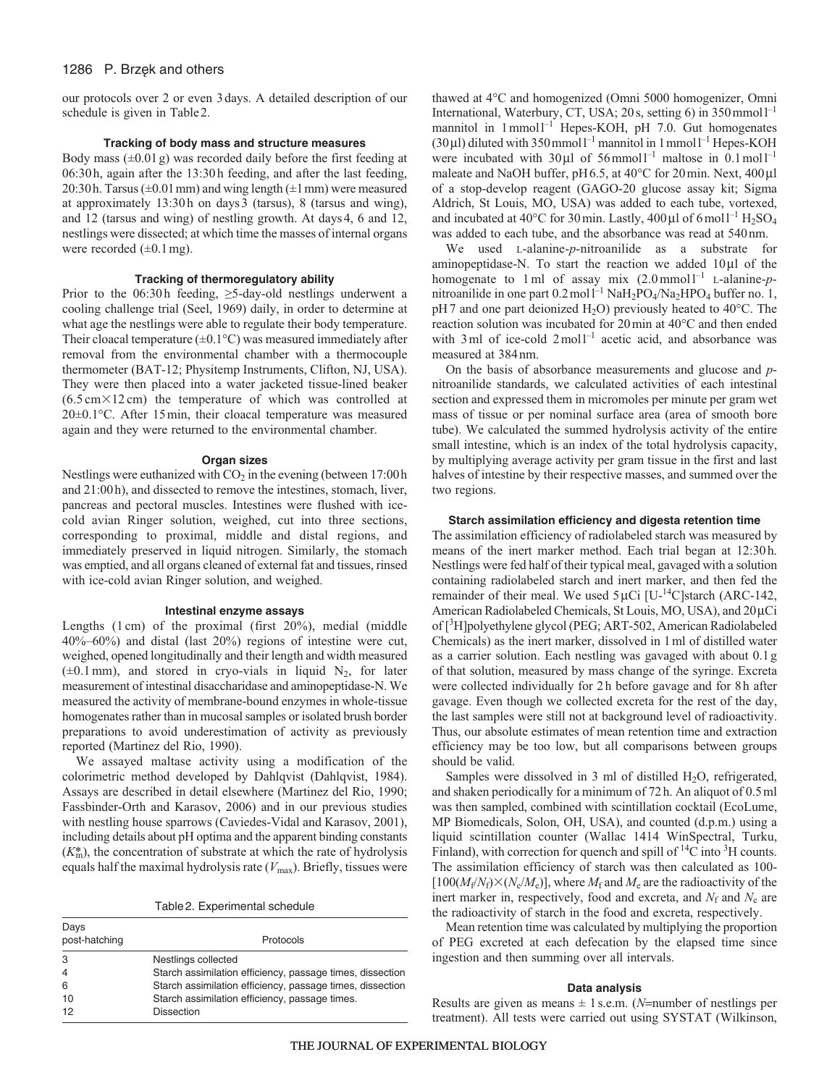# 1286 P. Brzęk and others

our protocols over 2 or even 3days. A detailed description of our schedule is given in Table2.

## **Tracking of body mass and structure measures**

Body mass  $(\pm 0.01 \text{ g})$  was recorded daily before the first feeding at 06:30h, again after the 13:30h feeding, and after the last feeding, 20:30h. Tarsus ( $\pm$ 0.01 mm) and wing length ( $\pm$ 1 mm) were measured at approximately 13:30h on days3 (tarsus), 8 (tarsus and wing), and 12 (tarsus and wing) of nestling growth. At days4, 6 and 12, nestlings were dissected; at which time the masses of internal organs were recorded  $(\pm 0.1 \text{ mg})$ .

## **Tracking of thermoregulatory ability**

Prior to the 06:30h feeding,  $\geq$ 5-day-old nestlings underwent a cooling challenge trial (Seel, 1969) daily, in order to determine at what age the nestlings were able to regulate their body temperature. Their cloacal temperature  $(\pm 0.1^{\circ}C)$  was measured immediately after removal from the environmental chamber with a thermocouple thermometer (BAT-12; Physitemp Instruments, Clifton, NJ, USA). They were then placed into a water jacketed tissue-lined beaker  $(6.5 \text{ cm} \times 12 \text{ cm})$  the temperature of which was controlled at 20±0.1°C. After 15min, their cloacal temperature was measured again and they were returned to the environmental chamber.

#### **Organ sizes**

Nestlings were euthanized with  $CO<sub>2</sub>$  in the evening (between 17:00 h and 21:00h), and dissected to remove the intestines, stomach, liver, pancreas and pectoral muscles. Intestines were flushed with icecold avian Ringer solution, weighed, cut into three sections, corresponding to proximal, middle and distal regions, and immediately preserved in liquid nitrogen. Similarly, the stomach was emptied, and all organs cleaned of external fat and tissues, rinsed with ice-cold avian Ringer solution, and weighed.

## **Intestinal enzyme assays**

Lengths (1 cm) of the proximal (first 20%), medial (middle 40%–60%) and distal (last 20%) regions of intestine were cut, weighed, opened longitudinally and their length and width measured  $(\pm 0.1 \text{ mm})$ , and stored in cryo-vials in liquid N<sub>2</sub>, for later measurement of intestinal disaccharidase and aminopeptidase-N. We measured the activity of membrane-bound enzymes in whole-tissue homogenates rather than in mucosal samples or isolated brush border preparations to avoid underestimation of activity as previously reported (Martinez del Rio, 1990).

We assayed maltase activity using a modification of the colorimetric method developed by Dahlqvist (Dahlqvist, 1984). Assays are described in detail elsewhere (Martinez del Rio, 1990; Fassbinder-Orth and Karasov, 2006) and in our previous studies with nestling house sparrows (Caviedes-Vidal and Karasov, 2001), including details about pH optima and the apparent binding constants (*K*\* m), the concentration of substrate at which the rate of hydrolysis equals half the maximal hydrolysis rate (*V*max). Briefly, tissues were

Table2. Experimental schedule

Days

| Days<br>post-hatching | Protocols                                                 |  |  |  |  |
|-----------------------|-----------------------------------------------------------|--|--|--|--|
| 3                     | Nestlings collected                                       |  |  |  |  |
| $\overline{4}$        | Starch assimilation efficiency, passage times, dissection |  |  |  |  |
| 6                     | Starch assimilation efficiency, passage times, dissection |  |  |  |  |
| 10                    | Starch assimilation efficiency, passage times.            |  |  |  |  |
| 12                    | <b>Dissection</b>                                         |  |  |  |  |

thawed at 4°C and homogenized (Omni 5000 homogenizer, Omni International, Waterbury, CT, USA; 20s, setting 6) in  $350$  mmol<sup>1-1</sup> mannitol in  $1$ mmol $1^{-1}$  Hepes-KOH, pH 7.0. Gut homogenates (30 $\mu$ l) diluted with 350 mmol<sup>1-1</sup> mannitol in 1 mmol<sup>1-1</sup> Hepes-KOH were incubated with  $30 \mu l$  of  $56$  mmol<sup>1-1</sup> maltose in  $0.1$  mol<sup>1-1</sup> maleate and NaOH buffer, pH6.5, at 40°C for 20min. Next, 400μl of a stop-develop reagent (GAGO-20 glucose assay kit; Sigma Aldrich, St Louis, MO, USA) was added to each tube, vortexed, and incubated at 40°C for 30 min. Lastly, 400  $\mu$ l of 6 moll<sup>-1</sup> H<sub>2</sub>SO<sub>4</sub> was added to each tube, and the absorbance was read at 540nm.

We used L-alanine-*p*-nitroanilide as a substrate for aminopeptidase-N. To start the reaction we added 10μl of the homogenate to 1 ml of assay mix  $(2.0 \text{ mmol})^{-1}$  L-alanine-*p*nitroanilide in one part  $0.2 \text{ mol}^{-1} \text{ Na}H_2\text{PO}_4/\text{Na}_2\text{HPO}_4$  buffer no. 1, pH7 and one part deionized H<sub>2</sub>O) previously heated to 40°C. The reaction solution was incubated for 20min at 40°C and then ended with  $3 \text{ ml}$  of ice-cold  $2 \text{ mol}^{-1}$  acetic acid, and absorbance was measured at 384nm.

On the basis of absorbance measurements and glucose and *p*nitroanilide standards, we calculated activities of each intestinal section and expressed them in micromoles per minute per gram wet mass of tissue or per nominal surface area (area of smooth bore tube). We calculated the summed hydrolysis activity of the entire small intestine, which is an index of the total hydrolysis capacity, by multiplying average activity per gram tissue in the first and last halves of intestine by their respective masses, and summed over the two regions.

#### **Starch assimilation efficiency and digesta retention time**

The assimilation efficiency of radiolabeled starch was measured by means of the inert marker method. Each trial began at 12:30h. Nestlings were fed half of their typical meal, gavaged with a solution containing radiolabeled starch and inert marker, and then fed the remainder of their meal. We used  $5 \mu$ Ci [U-<sup>14</sup>C]starch (ARC-142, American Radiolabeled Chemicals, St Louis, MO, USA), and 20μCi of [<sup>3</sup>H]polyethylene glycol (PEG; ART-502, American Radiolabeled Chemicals) as the inert marker, dissolved in 1ml of distilled water as a carrier solution. Each nestling was gavaged with about 0.1g of that solution, measured by mass change of the syringe. Excreta were collected individually for 2h before gavage and for 8h after gavage. Even though we collected excreta for the rest of the day, the last samples were still not at background level of radioactivity. Thus, our absolute estimates of mean retention time and extraction efficiency may be too low, but all comparisons between groups should be valid.

Samples were dissolved in 3 ml of distilled  $H_2O$ , refrigerated, and shaken periodically for a minimum of 72h. An aliquot of 0.5ml was then sampled, combined with scintillation cocktail (EcoLume, MP Biomedicals, Solon, OH, USA), and counted (d.p.m.) using a liquid scintillation counter (Wallac 1414 WinSpectral, Turku, Finland), with correction for quench and spill of  $^{14}C$  into  $^{3}H$  counts. The assimilation efficiency of starch was then calculated as 100-  $[100(M_f/N_f)\times (N_e/M_e)]$ , where  $M_f$  and  $M_e$  are the radioactivity of the inert marker in, respectively, food and excreta, and  $N_f$  and  $N_e$  are the radioactivity of starch in the food and excreta, respectively.

Mean retention time was calculated by multiplying the proportion of PEG excreted at each defecation by the elapsed time since ingestion and then summing over all intervals.

## **Data analysis**

Results are given as means  $\pm$  1 s.e.m. (*N*=number of nestlings per treatment). All tests were carried out using SYSTAT (Wilkinson,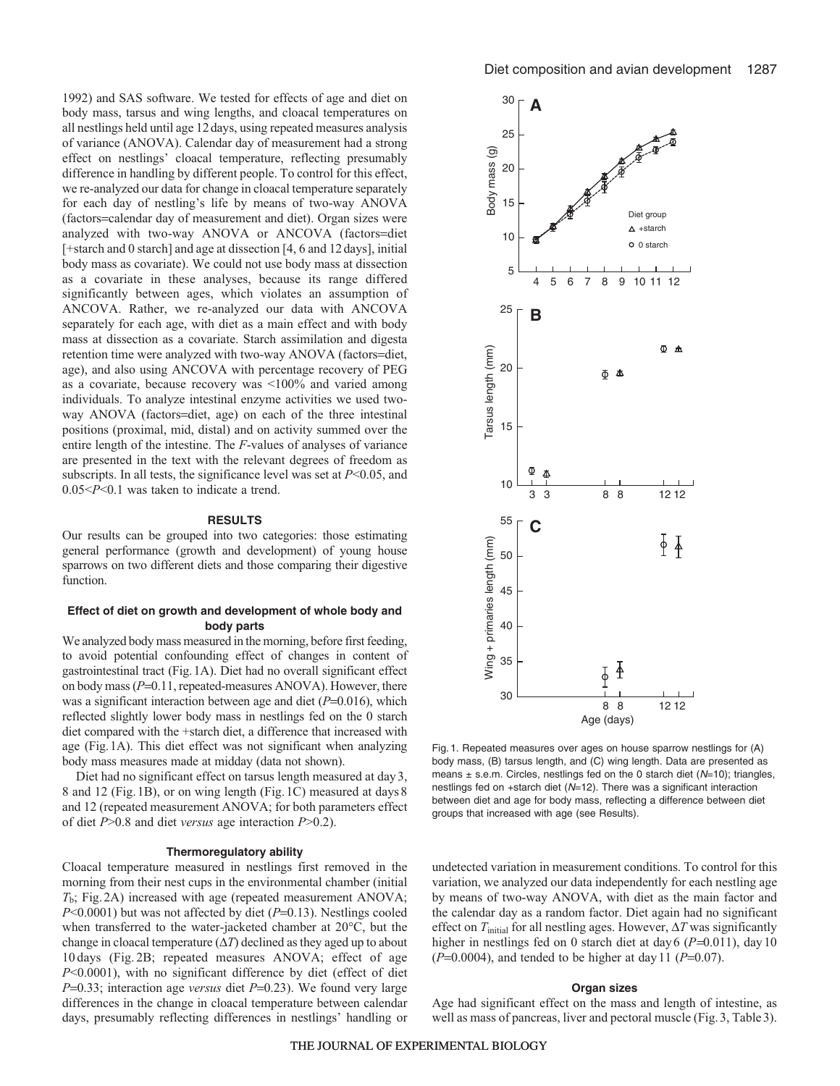1992) and SAS software. We tested for effects of age and diet on body mass, tarsus and wing lengths, and cloacal temperatures on all nestlings held until age 12days, using repeated measures analysis of variance (ANOVA). Calendar day of measurement had a strong effect on nestlings' cloacal temperature, reflecting presumably difference in handling by different people. To control for this effect, we re-analyzed our data for change in cloacal temperature separately for each day of nestling's life by means of two-way ANOVA (factors=calendar day of measurement and diet). Organ sizes were analyzed with two-way ANOVA or ANCOVA (factors=diet [+starch and 0 starch] and age at dissection [4, 6 and 12days], initial body mass as covariate). We could not use body mass at dissection as a covariate in these analyses, because its range differed significantly between ages, which violates an assumption of ANCOVA. Rather, we re-analyzed our data with ANCOVA separately for each age, with diet as a main effect and with body mass at dissection as a covariate. Starch assimilation and digesta retention time were analyzed with two-way ANOVA (factors=diet, age), and also using ANCOVA with percentage recovery of PEG as a covariate, because recovery was <100% and varied among individuals. To analyze intestinal enzyme activities we used twoway ANOVA (factors=diet, age) on each of the three intestinal positions (proximal, mid, distal) and on activity summed over the entire length of the intestine. The *F*-values of analyses of variance are presented in the text with the relevant degrees of freedom as subscripts. In all tests, the significance level was set at *P*<0.05, and 0.05<*P*<0.1 was taken to indicate a trend.

#### **RESULTS**

Our results can be grouped into two categories: those estimating general performance (growth and development) of young house sparrows on two different diets and those comparing their digestive function.

## **Effect of diet on growth and development of whole body and body parts**

We analyzed body mass measured in the morning, before first feeding, to avoid potential confounding effect of changes in content of gastrointestinal tract (Fig.1A). Diet had no overall significant effect on body mass (*P*=0.11, repeated-measures ANOVA). However, there was a significant interaction between age and diet ( $P=0.016$ ), which reflected slightly lower body mass in nestlings fed on the 0 starch diet compared with the +starch diet, a difference that increased with age (Fig.1A). This diet effect was not significant when analyzing body mass measures made at midday (data not shown).

Diet had no significant effect on tarsus length measured at day3, 8 and 12 (Fig.1B), or on wing length (Fig.1C) measured at days8 and 12 (repeated measurement ANOVA; for both parameters effect of diet *P*>0.8 and diet *versus* age interaction *P*>0.2).

## **Thermoregulatory ability**

Cloacal temperature measured in nestlings first removed in the morning from their nest cups in the environmental chamber (initial *T*b; Fig.2A) increased with age (repeated measurement ANOVA; *P*<0.0001) but was not affected by diet (*P*=0.13). Nestlings cooled when transferred to the water-jacketed chamber at 20°C, but the change in cloacal temperature  $(\Delta T)$  declined as they aged up to about 10 days (Fig. 2B; repeated measures ANOVA; effect of age *P*<0.0001), with no significant difference by diet (effect of diet *P*=0.33; interaction age *versus* diet *P*=0.23). We found very large differences in the change in cloacal temperature between calendar days, presumably reflecting differences in nestlings' handling or



Fig. 1. Repeated measures over ages on house sparrow nestlings for (A) body mass, (B) tarsus length, and (C) wing length. Data are presented as means  $\pm$  s.e.m. Circles, nestlings fed on the 0 starch diet ( $N=10$ ); triangles, nestlings fed on +starch diet (N=12). There was a significant interaction between diet and age for body mass, reflecting a difference between diet groups that increased with age (see Results).

undetected variation in measurement conditions. To control for this variation, we analyzed our data independently for each nestling age by means of two-way ANOVA, with diet as the main factor and the calendar day as a random factor. Diet again had no significant effect on *T*initial for all nestling ages. However, Δ*T* was significantly higher in nestlings fed on 0 starch diet at day 6 (P=0.011), day 10 (*P*=0.0004), and tended to be higher at day11 (*P*=0.07).

## **Organ sizes**

Age had significant effect on the mass and length of intestine, as well as mass of pancreas, liver and pectoral muscle (Fig.3, Table3).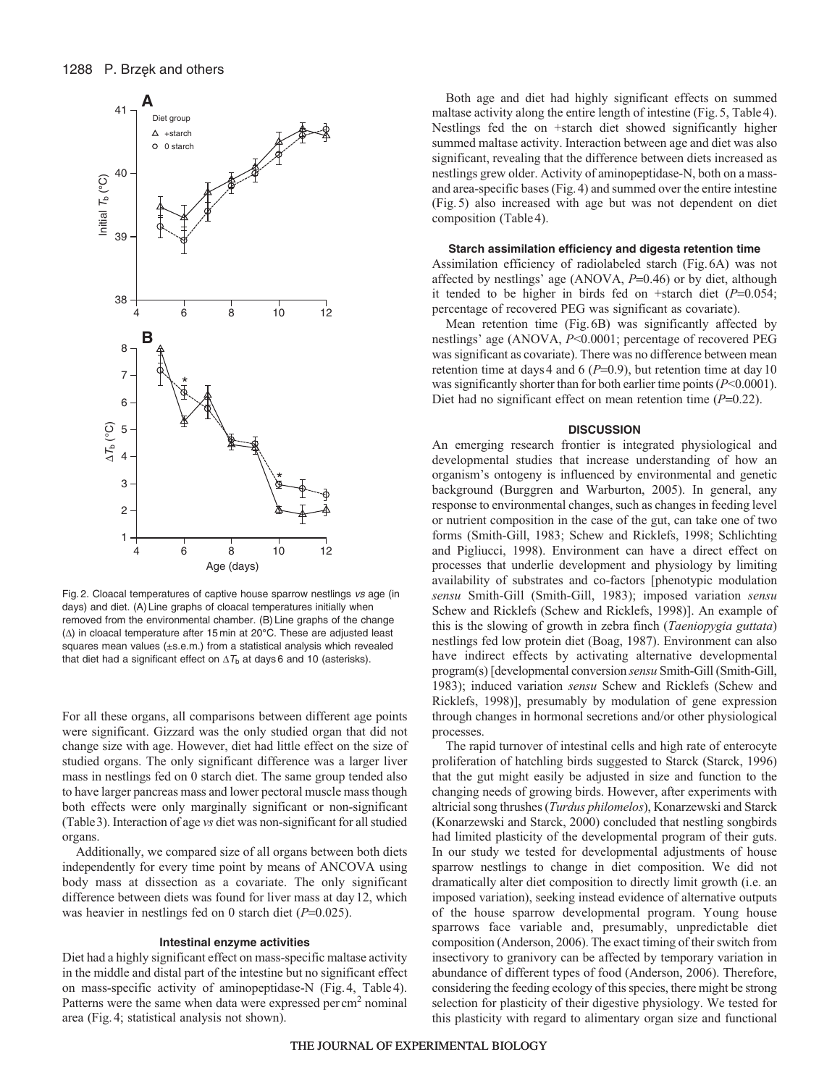

Fig. 2. Cloacal temperatures of captive house sparrow nestlings vs age (in days) and diet. (A) Line graphs of cloacal temperatures initially when removed from the environmental chamber. (B) Line graphs of the change (Δ) in cloacal temperature after 15 min at 20°C. These are adjusted least squares mean values (±s.e.m.) from a statistical analysis which revealed that diet had a significant effect on  $\Delta T_{\rm b}$  at days 6 and 10 (asterisks).

For all these organs, all comparisons between different age points were significant. Gizzard was the only studied organ that did not change size with age. However, diet had little effect on the size of studied organs. The only significant difference was a larger liver mass in nestlings fed on 0 starch diet. The same group tended also to have larger pancreas mass and lower pectoral muscle mass though both effects were only marginally significant or non-significant (Table3). Interaction of age *vs* diet was non-significant for all studied organs.

Additionally, we compared size of all organs between both diets independently for every time point by means of ANCOVA using body mass at dissection as a covariate. The only significant difference between diets was found for liver mass at day12, which was heavier in nestlings fed on 0 starch diet ( $P=0.025$ ).

#### **Intestinal enzyme activities**

Diet had a highly significant effect on mass-specific maltase activity in the middle and distal part of the intestine but no significant effect on mass-specific activity of aminopeptidase-N (Fig.4, Table4). Patterns were the same when data were expressed per cm<sup>2</sup> nominal area (Fig.4; statistical analysis not shown).

Both age and diet had highly significant effects on summed maltase activity along the entire length of intestine (Fig.5, Table4). Nestlings fed the on +starch diet showed significantly higher summed maltase activity. Interaction between age and diet was also significant, revealing that the difference between diets increased as nestlings grew older. Activity of aminopeptidase-N, both on a massand area-specific bases (Fig.4) and summed over the entire intestine (Fig.5) also increased with age but was not dependent on diet composition (Table4).

#### **Starch assimilation efficiency and digesta retention time**

Assimilation efficiency of radiolabeled starch (Fig.6A) was not affected by nestlings' age (ANOVA, *P*=0.46) or by diet, although it tended to be higher in birds fed on +starch diet (*P*=0.054; percentage of recovered PEG was significant as covariate).

Mean retention time (Fig.6B) was significantly affected by nestlings' age (ANOVA, *P*<0.0001; percentage of recovered PEG was significant as covariate). There was no difference between mean retention time at days 4 and 6 (*P*=0.9), but retention time at day 10 was significantly shorter than for both earlier time points (*P*<0.0001). Diet had no significant effect on mean retention time (*P*=0.22).

## **DISCUSSION**

An emerging research frontier is integrated physiological and developmental studies that increase understanding of how an organism's ontogeny is influenced by environmental and genetic background (Burggren and Warburton, 2005). In general, any response to environmental changes, such as changes in feeding level or nutrient composition in the case of the gut, can take one of two forms (Smith-Gill, 1983; Schew and Ricklefs, 1998; Schlichting and Pigliucci, 1998). Environment can have a direct effect on processes that underlie development and physiology by limiting availability of substrates and co-factors [phenotypic modulation *sensu* Smith-Gill (Smith-Gill, 1983); imposed variation *sensu* Schew and Ricklefs (Schew and Ricklefs, 1998)]. An example of this is the slowing of growth in zebra finch (*Taeniopygia guttata*) nestlings fed low protein diet (Boag, 1987). Environment can also have indirect effects by activating alternative developmental program(s) [developmental conversion *sensu* Smith-Gill (Smith-Gill, 1983); induced variation *sensu* Schew and Ricklefs (Schew and Ricklefs, 1998)], presumably by modulation of gene expression through changes in hormonal secretions and/or other physiological processes.

The rapid turnover of intestinal cells and high rate of enterocyte proliferation of hatchling birds suggested to Starck (Starck, 1996) that the gut might easily be adjusted in size and function to the changing needs of growing birds. However, after experiments with altricial song thrushes (*Turdus philomelos*), Konarzewski and Starck (Konarzewski and Starck, 2000) concluded that nestling songbirds had limited plasticity of the developmental program of their guts. In our study we tested for developmental adjustments of house sparrow nestlings to change in diet composition. We did not dramatically alter diet composition to directly limit growth (i.e. an imposed variation), seeking instead evidence of alternative outputs of the house sparrow developmental program. Young house sparrows face variable and, presumably, unpredictable diet composition (Anderson, 2006). The exact timing of their switch from insectivory to granivory can be affected by temporary variation in abundance of different types of food (Anderson, 2006). Therefore, considering the feeding ecology of this species, there might be strong selection for plasticity of their digestive physiology. We tested for this plasticity with regard to alimentary organ size and functional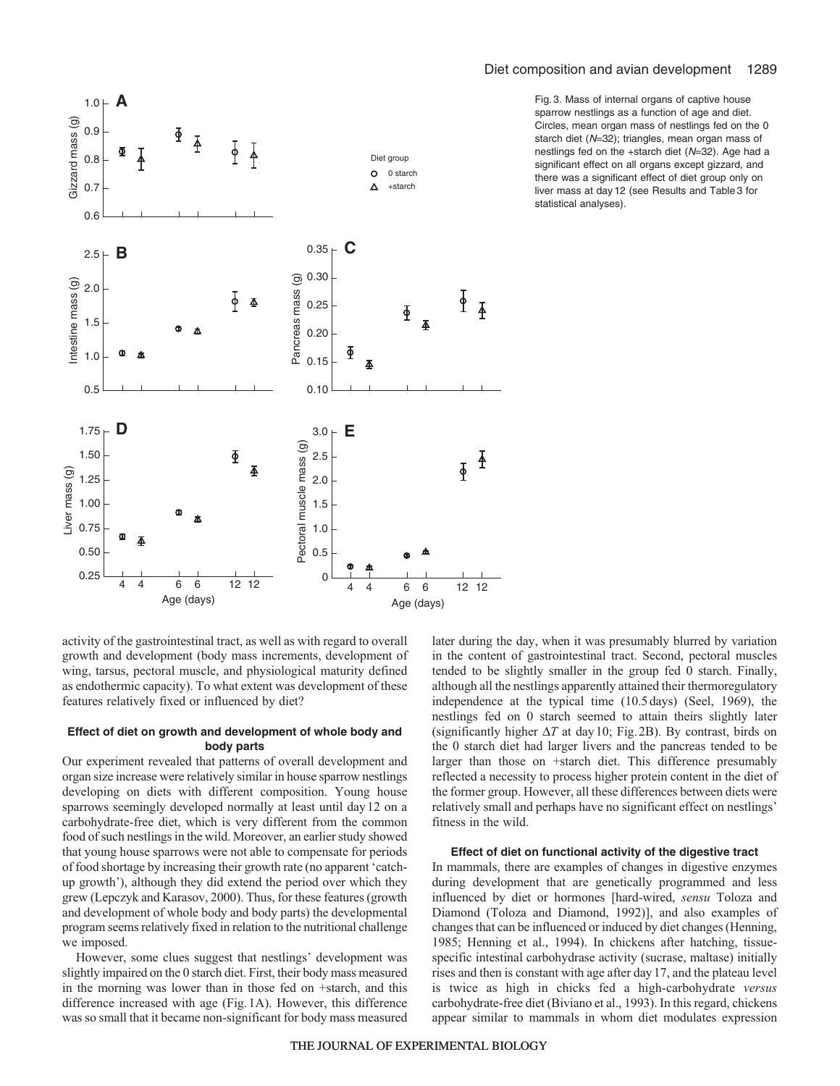

Fig. 3. Mass of internal organs of captive house sparrow nestlings as a function of age and diet. Circles, mean organ mass of nestlings fed on the 0 starch diet (N=32); triangles, mean organ mass of nestlings fed on the +starch diet (N=32). Age had a significant effect on all organs except gizzard, and there was a significant effect of diet group only on liver mass at day 12 (see Results and Table 3 for statistical analyses).

activity of the gastrointestinal tract, as well as with regard to overall growth and development (body mass increments, development of wing, tarsus, pectoral muscle, and physiological maturity defined as endothermic capacity). To what extent was development of these features relatively fixed or influenced by diet?

# **Effect of diet on growth and development of whole body and body parts**

Our experiment revealed that patterns of overall development and organ size increase were relatively similar in house sparrow nestlings developing on diets with different composition. Young house sparrows seemingly developed normally at least until day12 on a carbohydrate-free diet, which is very different from the common food of such nestlings in the wild. Moreover, an earlier study showed that young house sparrows were not able to compensate for periods of food shortage by increasing their growth rate (no apparent 'catchup growth'), although they did extend the period over which they grew (Lepczyk and Karasov, 2000). Thus, for these features (growth and development of whole body and body parts) the developmental program seems relatively fixed in relation to the nutritional challenge we imposed.

However, some clues suggest that nestlings' development was slightly impaired on the 0 starch diet. First, their body mass measured in the morning was lower than in those fed on +starch, and this difference increased with age (Fig.1A). However, this difference was so small that it became non-significant for body mass measured later during the day, when it was presumably blurred by variation in the content of gastrointestinal tract. Second, pectoral muscles tended to be slightly smaller in the group fed 0 starch. Finally, although all the nestlings apparently attained their thermoregulatory independence at the typical time (10.5days) (Seel, 1969), the nestlings fed on 0 starch seemed to attain theirs slightly later (significantly higher  $\Delta T$  at day 10; Fig. 2B). By contrast, birds on the 0 starch diet had larger livers and the pancreas tended to be larger than those on +starch diet. This difference presumably reflected a necessity to process higher protein content in the diet of the former group. However, all these differences between diets were relatively small and perhaps have no significant effect on nestlings' fitness in the wild.

# **Effect of diet on functional activity of the digestive tract**

In mammals, there are examples of changes in digestive enzymes during development that are genetically programmed and less influenced by diet or hormones [hard-wired, *sensu* Toloza and Diamond (Toloza and Diamond, 1992)], and also examples of changes that can be influenced or induced by diet changes (Henning, 1985; Henning et al., 1994). In chickens after hatching, tissuespecific intestinal carbohydrase activity (sucrase, maltase) initially rises and then is constant with age after day17, and the plateau level is twice as high in chicks fed a high-carbohydrate *versus* carbohydrate-free diet (Biviano et al., 1993). In this regard, chickens appear similar to mammals in whom diet modulates expression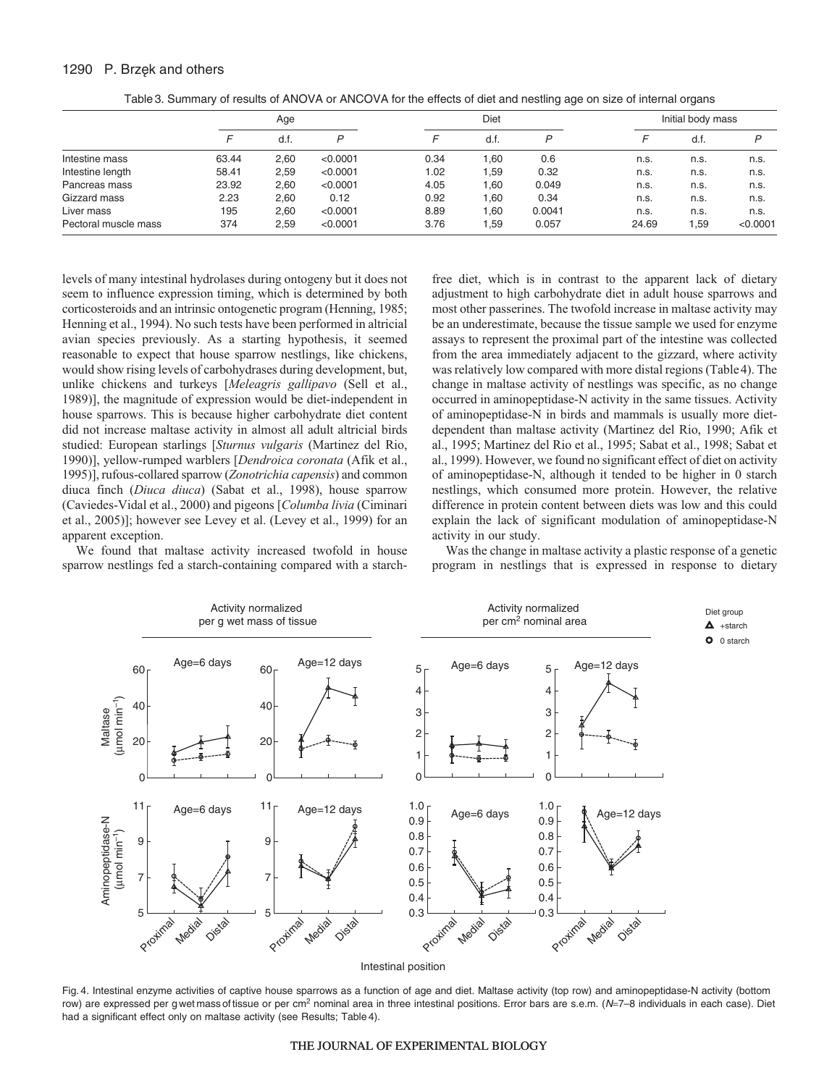## 1290 P. Brzęk and others

| .                | .     | _____ | ___      |      | .    |      |      |                   |      |  |  |
|------------------|-------|-------|----------|------|------|------|------|-------------------|------|--|--|
|                  | Age   |       |          |      | Diet |      |      | Initial body mass |      |  |  |
|                  |       | d.f.  |          |      | a.t. |      |      | d.t.              | D    |  |  |
| Intestine mass   | 63.44 | 2,60  | < 0.0001 | 0.34 | .60  | 0.6  | n.s. | n.s.              | n.s. |  |  |
| Intestine length | 58.41 | 2,59  | < 0.0001 | 1.02 | .59  | 0.32 | n.s. | n.s.              | n.s. |  |  |

Pancreas mass 23.92 2,60 <0.0001 4.05 1,60 0.049 n.s. n.s. n.s. Gizzard mass 2.23 2,60 0.12 0.92 1,60 0.34 n.s. n.s. n.s. Liver mass 195 2,60 <0.0001 8.89 1,60 0.0041 n.s. n.s. n.s. Pectoral muscle mass 374 2,59 <0.0001 3.76 1,59 0.057 24.69 1,59 <0.0001

Table3. Summary of results of ANOVA or ANCOVA for the effects of diet and nestling age on size of internal organs

levels of many intestinal hydrolases during ontogeny but it does not seem to influence expression timing, which is determined by both corticosteroids and an intrinsic ontogenetic program (Henning, 1985; Henning et al., 1994). No such tests have been performed in altricial avian species previously. As a starting hypothesis, it seemed reasonable to expect that house sparrow nestlings, like chickens, would show rising levels of carbohydrases during development, but, unlike chickens and turkeys [*Meleagris gallipavo* (Sell et al., 1989)], the magnitude of expression would be diet-independent in house sparrows. This is because higher carbohydrate diet content did not increase maltase activity in almost all adult altricial birds studied: European starlings [*Sturnus vulgaris* (Martinez del Rio, 1990)], yellow-rumped warblers [*Dendroica coronata* (Afik et al., 1995)], rufous-collared sparrow (*Zonotrichia capensis*) and common diuca finch (*Diuca diuca*) (Sabat et al., 1998), house sparrow (Caviedes-Vidal et al., 2000) and pigeons [*Columba livia* (Ciminari et al., 2005)]; however see Levey et al. (Levey et al., 1999) for an apparent exception.

We found that maltase activity increased twofold in house sparrow nestlings fed a starch-containing compared with a starchfree diet, which is in contrast to the apparent lack of dietary adjustment to high carbohydrate diet in adult house sparrows and most other passerines. The twofold increase in maltase activity may be an underestimate, because the tissue sample we used for enzyme assays to represent the proximal part of the intestine was collected from the area immediately adjacent to the gizzard, where activity was relatively low compared with more distal regions (Table4). The change in maltase activity of nestlings was specific, as no change occurred in aminopeptidase-N activity in the same tissues. Activity of aminopeptidase-N in birds and mammals is usually more dietdependent than maltase activity (Martinez del Rio, 1990; Afik et al., 1995; Martinez del Rio et al., 1995; Sabat et al., 1998; Sabat et al., 1999). However, we found no significant effect of diet on activity of aminopeptidase-N, although it tended to be higher in 0 starch nestlings, which consumed more protein. However, the relative difference in protein content between diets was low and this could explain the lack of significant modulation of aminopeptidase-N activity in our study.

Was the change in maltase activity a plastic response of a genetic program in nestlings that is expressed in response to dietary



Fig. 4. Intestinal enzyme activities of captive house sparrows as a function of age and diet. Maltase activity (top row) and aminopeptidase-N activity (bottom row) are expressed per gwet mass of tissue or per cm<sup>2</sup> nominal area in three intestinal positions. Error bars are s.e.m. (N=7-8 individuals in each case). Diet had a significant effect only on maltase activity (see Results; Table 4).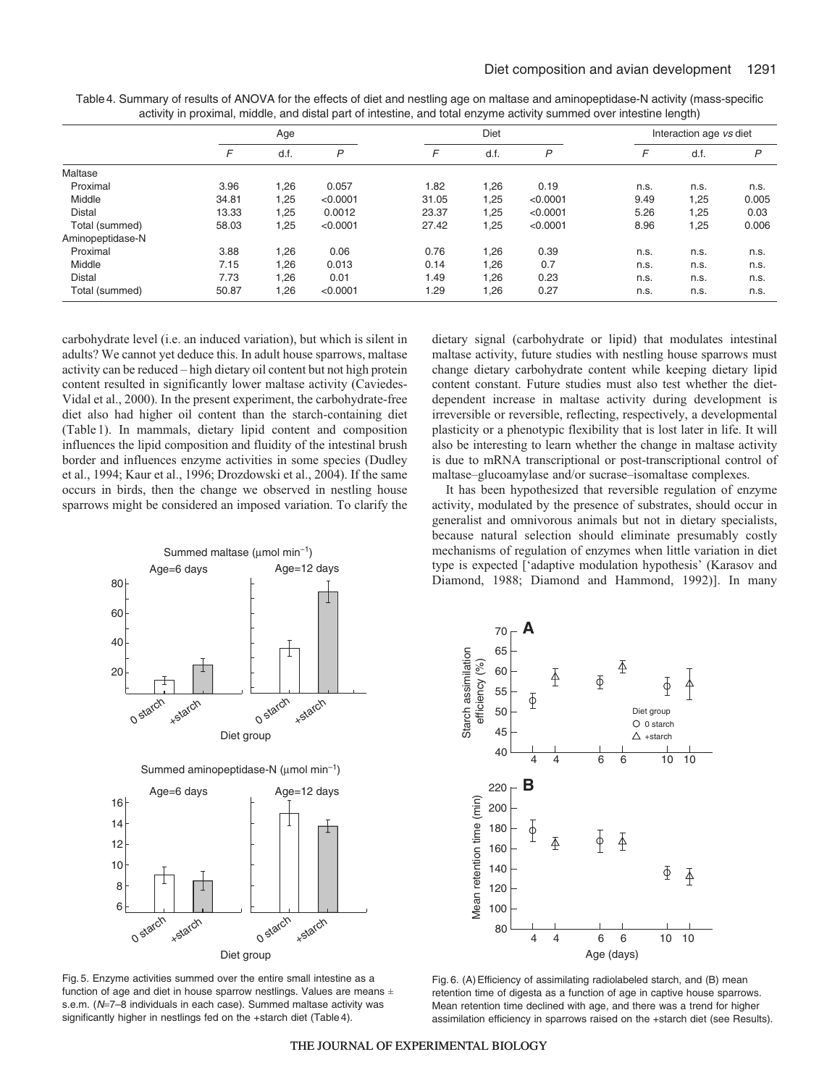|                  |       | Age  |          |       | Diet |          |      | Interaction age vs diet |       |  |
|------------------|-------|------|----------|-------|------|----------|------|-------------------------|-------|--|
|                  | F     | d.f. | P        | F     | d.f. | P        | F    | d.f.                    | P     |  |
| Maltase          |       |      |          |       |      |          |      |                         |       |  |
| Proximal         | 3.96  | 1,26 | 0.057    | 1.82  | 1,26 | 0.19     | n.s. | n.s.                    | n.s.  |  |
| Middle           | 34.81 | 1,25 | < 0.0001 | 31.05 | 1,25 | < 0.0001 | 9.49 | 1,25                    | 0.005 |  |
| <b>Distal</b>    | 13.33 | 1,25 | 0.0012   | 23.37 | 1,25 | < 0.0001 | 5.26 | 1,25                    | 0.03  |  |
| Total (summed)   | 58.03 | 1,25 | < 0.0001 | 27.42 | 1,25 | < 0.0001 | 8.96 | 1,25                    | 0.006 |  |
| Aminopeptidase-N |       |      |          |       |      |          |      |                         |       |  |
| Proximal         | 3.88  | .26  | 0.06     | 0.76  | 1,26 | 0.39     | n.s. | n.s.                    | n.s.  |  |
| Middle           | 7.15  | .26  | 0.013    | 0.14  | 1,26 | 0.7      | n.s. | n.s.                    | n.s.  |  |
| <b>Distal</b>    | 7.73  | 1,26 | 0.01     | 1.49  | 1,26 | 0.23     | n.s. | n.s.                    | n.s.  |  |
| Total (summed)   | 50.87 | 1,26 | < 0.0001 | 1.29  | 1,26 | 0.27     | n.s. | n.s.                    | n.s.  |  |

Table4. Summary of results of ANOVA for the effects of diet and nestling age on maltase and aminopeptidase-N activity (mass-specific activity in proximal, middle, and distal part of intestine, and total enzyme activity summed over intestine length)

carbohydrate level (i.e. an induced variation), but which is silent in adults? We cannot yet deduce this. In adult house sparrows, maltase activity can be reduced – high dietary oil content but not high protein content resulted in significantly lower maltase activity (Caviedes-Vidal et al., 2000). In the present experiment, the carbohydrate-free diet also had higher oil content than the starch-containing diet (Table 1). In mammals, dietary lipid content and composition influences the lipid composition and fluidity of the intestinal brush border and influences enzyme activities in some species (Dudley et al., 1994; Kaur et al., 1996; Drozdowski et al., 2004). If the same occurs in birds, then the change we observed in nestling house sparrows might be considered an imposed variation. To clarify the dietary signal (carbohydrate or lipid) that modulates intestinal maltase activity, future studies with nestling house sparrows must change dietary carbohydrate content while keeping dietary lipid content constant. Future studies must also test whether the dietdependent increase in maltase activity during development is irreversible or reversible, reflecting, respectively, a developmental plasticity or a phenotypic flexibility that is lost later in life. It will also be interesting to learn whether the change in maltase activity is due to mRNA transcriptional or post-transcriptional control of maltase–glucoamylase and/or sucrase–isomaltase complexes.

It has been hypothesized that reversible regulation of enzyme activity, modulated by the presence of substrates, should occur in generalist and omnivorous animals but not in dietary specialists, because natural selection should eliminate presumably costly mechanisms of regulation of enzymes when little variation in diet type is expected ['adaptive modulation hypothesis' (Karasov and Diamond, 1988; Diamond and Hammond, 1992)]. In many



Fig. 5. Enzyme activities summed over the entire small intestine as a function of age and diet in house sparrow nestlings. Values are means  $\pm$ s.e.m. (N=7-8 individuals in each case). Summed maltase activity was significantly higher in nestlings fed on the +starch diet (Table 4).



Fig. 6. (A) Efficiency of assimilating radiolabeled starch, and (B) mean retention time of digesta as a function of age in captive house sparrows. Mean retention time declined with age, and there was a trend for higher assimilation efficiency in sparrows raised on the +starch diet (see Results).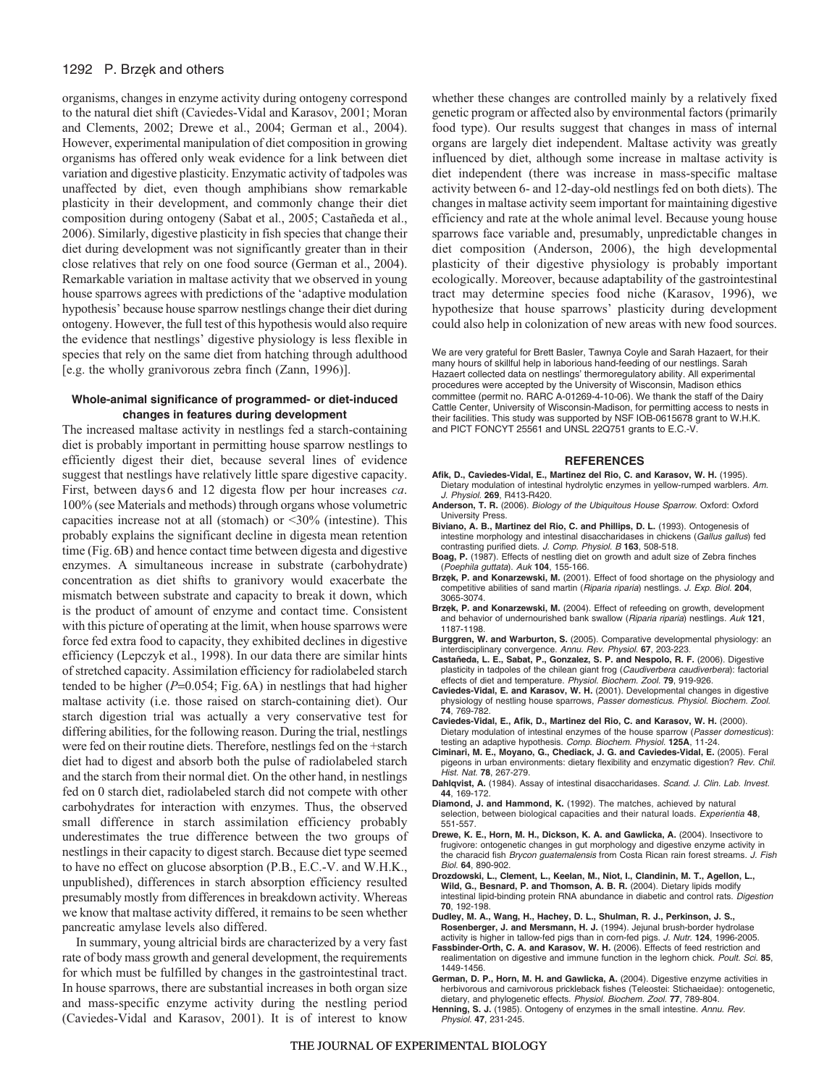## 1292 P. Brzęk and others

organisms, changes in enzyme activity during ontogeny correspond to the natural diet shift (Caviedes-Vidal and Karasov, 2001; Moran and Clements, 2002; Drewe et al., 2004; German et al., 2004). However, experimental manipulation of diet composition in growing organisms has offered only weak evidence for a link between diet variation and digestive plasticity. Enzymatic activity of tadpoles was unaffected by diet, even though amphibians show remarkable plasticity in their development, and commonly change their diet composition during ontogeny (Sabat et al., 2005; Castañeda et al., 2006). Similarly, digestive plasticity in fish species that change their diet during development was not significantly greater than in their close relatives that rely on one food source (German et al., 2004). Remarkable variation in maltase activity that we observed in young house sparrows agrees with predictions of the 'adaptive modulation hypothesis' because house sparrow nestlings change their diet during ontogeny. However, the full test of this hypothesis would also require the evidence that nestlings' digestive physiology is less flexible in species that rely on the same diet from hatching through adulthood [e.g. the wholly granivorous zebra finch (Zann, 1996)].

## **Whole-animal significance of programmed- or diet-induced changes in features during development**

The increased maltase activity in nestlings fed a starch-containing diet is probably important in permitting house sparrow nestlings to efficiently digest their diet, because several lines of evidence suggest that nestlings have relatively little spare digestive capacity. First, between days6 and 12 digesta flow per hour increases *ca*. 100% (see Materials and methods) through organs whose volumetric capacities increase not at all (stomach) or  $\leq 30\%$  (intestine). This probably explains the significant decline in digesta mean retention time (Fig.6B) and hence contact time between digesta and digestive enzymes. A simultaneous increase in substrate (carbohydrate) concentration as diet shifts to granivory would exacerbate the mismatch between substrate and capacity to break it down, which is the product of amount of enzyme and contact time. Consistent with this picture of operating at the limit, when house sparrows were force fed extra food to capacity, they exhibited declines in digestive efficiency (Lepczyk et al., 1998). In our data there are similar hints of stretched capacity. Assimilation efficiency for radiolabeled starch tended to be higher (*P*=0.054; Fig.6A) in nestlings that had higher maltase activity (i.e. those raised on starch-containing diet). Our starch digestion trial was actually a very conservative test for differing abilities, for the following reason. During the trial, nestlings were fed on their routine diets. Therefore, nestlings fed on the +starch diet had to digest and absorb both the pulse of radiolabeled starch and the starch from their normal diet. On the other hand, in nestlings fed on 0 starch diet, radiolabeled starch did not compete with other carbohydrates for interaction with enzymes. Thus, the observed small difference in starch assimilation efficiency probably underestimates the true difference between the two groups of nestlings in their capacity to digest starch. Because diet type seemed to have no effect on glucose absorption (P.B., E.C.-V. and W.H.K., unpublished), differences in starch absorption efficiency resulted presumably mostly from differences in breakdown activity. Whereas we know that maltase activity differed, it remains to be seen whether pancreatic amylase levels also differed.

In summary, young altricial birds are characterized by a very fast rate of body mass growth and general development, the requirements for which must be fulfilled by changes in the gastrointestinal tract. In house sparrows, there are substantial increases in both organ size and mass-specific enzyme activity during the nestling period (Caviedes-Vidal and Karasov, 2001). It is of interest to know whether these changes are controlled mainly by a relatively fixed genetic program or affected also by environmental factors (primarily food type). Our results suggest that changes in mass of internal organs are largely diet independent. Maltase activity was greatly influenced by diet, although some increase in maltase activity is diet independent (there was increase in mass-specific maltase activity between 6- and 12-day-old nestlings fed on both diets). The changes in maltase activity seem important for maintaining digestive efficiency and rate at the whole animal level. Because young house sparrows face variable and, presumably, unpredictable changes in diet composition (Anderson, 2006), the high developmental plasticity of their digestive physiology is probably important ecologically. Moreover, because adaptability of the gastrointestinal tract may determine species food niche (Karasov, 1996), we hypothesize that house sparrows' plasticity during development could also help in colonization of new areas with new food sources.

We are very grateful for Brett Basler, Tawnya Coyle and Sarah Hazaert, for their many hours of skillful help in laborious hand-feeding of our nestlings. Sarah Hazaert collected data on nestlings' thermoregulatory ability. All experimental procedures were accepted by the University of Wisconsin, Madison ethics committee (permit no. RARC A-01269-4-10-06). We thank the staff of the Dairy Cattle Center, University of Wisconsin-Madison, for permitting access to nests in their facilities. This study was supported by NSF IOB-0615678 grant to W.H.K. and PICT FONCYT 25561 and UNSL 22Q751 grants to E.C.-V.

#### **REFERENCES**

- **Afik, D., Caviedes-Vidal, E., Martinez del Rio, C. and Karasov, W. H.** (1995). Dietary modulation of intestinal hydrolytic enzymes in yellow-rumped warblers. Am. J. Physiol. **269**, R413-R420.
- **Anderson, T. R.** (2006). Biology of the Ubiquitous House Sparrow. Oxford: Oxford University Press.
- **Biviano, A. B., Martinez del Rio, C. and Phillips, D. L.** (1993). Ontogenesis of intestine morphology and intestinal disaccharidases in chickens (Gallus gallus) fed contrasting purified diets. J. Comp. Physiol. B **163**, 508-518.
- **Boag, P.** (1987). Effects of nestling diet on growth and adult size of Zebra finches (Poephila guttata). Auk **104**, 155-166.
- **Brze**˛**k, P. and Konarzewski, M.** (2001). Effect of food shortage on the physiology and competitive abilities of sand martin (Riparia riparia) nestlings. J. Exp. Biol. **204**, 3065-3074.
- **Brze**˛**k, P. and Konarzewski, M.** (2004). Effect of refeeding on growth, development and behavior of undernourished bank swallow (Riparia riparia) nestlings. Auk **121**, 1187-1198.
- **Burggren, W. and Warburton, S.** (2005). Comparative developmental physiology: an interdisciplinary convergence. Annu. Rev. Physiol. **67**, 203-223.
- **Castañeda, L. E., Sabat, P., Gonzalez, S. P. and Nespolo, R. F.** (2006). Digestive plasticity in tadpoles of the chilean giant frog (Caudiverbera caudiverbera): factorial effects of diet and temperature. Physiol. Biochem. Zool. **79**, 919-926.
- **Caviedes-Vidal, E. and Karasov, W. H.** (2001). Developmental changes in digestive physiology of nestling house sparrows, Passer domesticus. Physiol. Biochem. Zool. **74**, 769-782.
- **Caviedes-Vidal, E., Afik, D., Martinez del Rio, C. and Karasov, W. H.** (2000). Dietary modulation of intestinal enzymes of the house sparrow (*Passer domesticus*): testing an adaptive hypothesis. Comp. Biochem. Physiol. **125A**, 11-24.
- **Ciminari, M. E., Moyano, G., Chediack, J. G. and Caviedes-Vidal, E.** (2005). Feral pigeons in urban environments: dietary flexibility and enzymatic digestion? Rev. Chil. Hist. Nat. **78**, 267-279.
- Dahlqvist, A. (1984). Assay of intestinal disaccharidases. Scand. J. Clin. Lab. Invest. **44**, 169-172.
- **Diamond, J. and Hammond, K.** (1992). The matches, achieved by natural selection, between biological capacities and their natural loads. Experientia **48**, 551-557.
- **Drewe, K. E., Horn, M. H., Dickson, K. A. and Gawlicka, A.** (2004). Insectivore to frugivore: ontogenetic changes in gut morphology and digestive enzyme activity in the characid fish Brycon guatemalensis from Costa Rican rain forest streams. J. Fish Biol. **64**, 890-902.
- **Drozdowski, L., Clement, L., Keelan, M., Niot, I., Clandinin, M. T., Agellon, L., Wild, G., Besnard, P. and Thomson, A. B. R.** (2004). Dietary lipids modify intestinal lipid-binding protein RNA abundance in diabetic and control rats. Digestion **70**, 192-198.
- **Dudley, M. A., Wang, H., Hachey, D. L., Shulman, R. J., Perkinson, J. S., Rosenberger, J. and Mersmann, H. J.** (1994). Jejunal brush-border hydrolase activity is higher in tallow-fed pigs than in corn-fed pigs. J. Nutr. **124**, 1996-2005.
- **Fassbinder-Orth, C. A. and Karasov, W. H.** (2006). Effects of feed restriction and realimentation on digestive and immune function in the leghorn chick. Poult. Sci. **85**, 1449-1456.
- **German, D. P., Horn, M. H. and Gawlicka, A.** (2004). Digestive enzyme activities in herbivorous and carnivorous prickleback fishes (Teleostei: Stichaeidae): ontogenetic, dietary, and phylogenetic effects. Physiol. Biochem. Zool. **77**, 789-804.
- Henning, S. J. (1985). Ontogeny of enzymes in the small intestine. Annu. Rev. Physiol. **47**, 231-245.